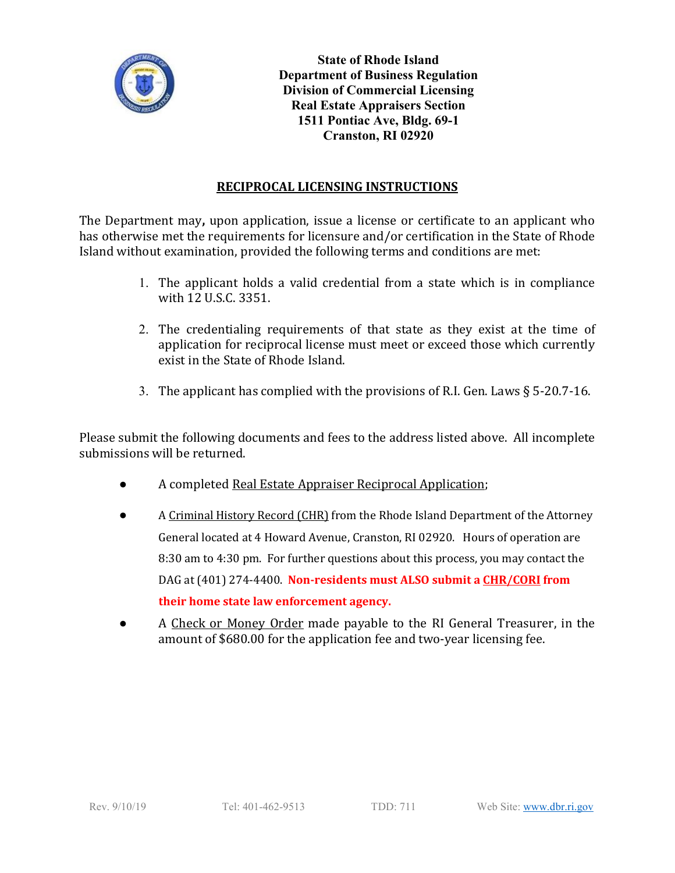

**State of Rhode Island Department of Business Regulation Division of Commercial Licensing Real Estate Appraisers Section 1511 Pontiac Ave, Bldg. 69-1 Cranston, RI 02920**

## **RECIPROCAL LICENSING INSTRUCTIONS**

The Department may**,** upon application, issue a license or certificate to an applicant who has otherwise met the requirements for licensure and/or certification in the State of Rhode Island without examination, provided the following terms and conditions are met:

- 1. The applicant holds a valid credential from a state which is in compliance with 12 U.S.C. 3351.
- 2. The credentialing requirements of that state as they exist at the time of application for reciprocal license must meet or exceed those which currently exist in the State of Rhode Island.
- 3. The applicant has complied with the provisions of R.I. Gen. Laws § 5-20.7-16.

Please submit the following documents and fees to the address listed above. All incomplete submissions will be returned.

- A completed Real Estate Appraiser Reciprocal Application;
- A Criminal History Record (CHR) from the Rhode Island Department of the Attorney General located at 4 Howard Avenue, Cranston, RI 02920. Hours of operation are 8:30 am to 4:30 pm. For further questions about this process, you may contact the DAG at (401) 274-4400. **Non-residents must ALSO submit a CHR/CORI from their home state law enforcement agency.**
- A Check or Money Order made payable to the RI General Treasurer, in the amount of \$680.00 for the application fee and two-year licensing fee.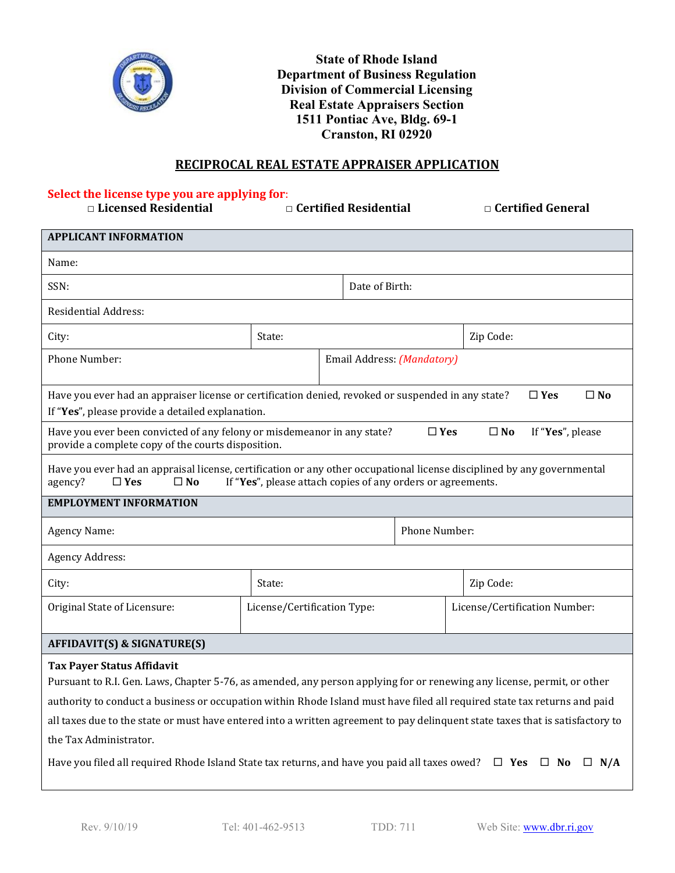

**State of Rhode Island Department of Business Regulation Division of Commercial Licensing Real Estate Appraisers Section 1511 Pontiac Ave, Bldg. 69-1 Cranston, RI 02920**

### **RECIPROCAL REAL ESTATE APPRAISER APPLICATION**

# **Select the license type you are applying for**:

**□ Licensed Residential □ Certified Residential □ Certified General**

| <b>APPLICANT INFORMATION</b>                                                                                                                                                                                                                                                                                                                                                                                                                          |                             |  |                |  |                               |  |  |
|-------------------------------------------------------------------------------------------------------------------------------------------------------------------------------------------------------------------------------------------------------------------------------------------------------------------------------------------------------------------------------------------------------------------------------------------------------|-----------------------------|--|----------------|--|-------------------------------|--|--|
| Name:                                                                                                                                                                                                                                                                                                                                                                                                                                                 |                             |  |                |  |                               |  |  |
| SSN:                                                                                                                                                                                                                                                                                                                                                                                                                                                  |                             |  | Date of Birth: |  |                               |  |  |
| <b>Residential Address:</b>                                                                                                                                                                                                                                                                                                                                                                                                                           |                             |  |                |  |                               |  |  |
| City:                                                                                                                                                                                                                                                                                                                                                                                                                                                 | State:                      |  |                |  | Zip Code:                     |  |  |
| Phone Number:                                                                                                                                                                                                                                                                                                                                                                                                                                         | Email Address: (Mandatory)  |  |                |  |                               |  |  |
| Have you ever had an appraiser license or certification denied, revoked or suspended in any state?<br>$\square$ No<br>$\Box$ Yes<br>If "Yes", please provide a detailed explanation.                                                                                                                                                                                                                                                                  |                             |  |                |  |                               |  |  |
| Have you ever been convicted of any felony or misdemeanor in any state?<br>$\Box$ Yes<br>If "Yes", please<br>$\square$ No<br>provide a complete copy of the courts disposition.                                                                                                                                                                                                                                                                       |                             |  |                |  |                               |  |  |
| Have you ever had an appraisal license, certification or any other occupational license disciplined by any governmental<br>If "Yes", please attach copies of any orders or agreements.<br>agency?<br>$\square$ Yes<br>$\square$ No                                                                                                                                                                                                                    |                             |  |                |  |                               |  |  |
| <b>EMPLOYMENT INFORMATION</b>                                                                                                                                                                                                                                                                                                                                                                                                                         |                             |  |                |  |                               |  |  |
| Agency Name:                                                                                                                                                                                                                                                                                                                                                                                                                                          |                             |  | Phone Number:  |  |                               |  |  |
| <b>Agency Address:</b>                                                                                                                                                                                                                                                                                                                                                                                                                                |                             |  |                |  |                               |  |  |
| City:                                                                                                                                                                                                                                                                                                                                                                                                                                                 | State:                      |  |                |  | Zip Code:                     |  |  |
| Original State of Licensure:                                                                                                                                                                                                                                                                                                                                                                                                                          | License/Certification Type: |  |                |  | License/Certification Number: |  |  |
| <b>AFFIDAVIT(S) &amp; SIGNATURE(S)</b>                                                                                                                                                                                                                                                                                                                                                                                                                |                             |  |                |  |                               |  |  |
| <b>Tax Payer Status Affidavit</b><br>Pursuant to R.I. Gen. Laws, Chapter 5-76, as amended, any person applying for or renewing any license, permit, or other<br>authority to conduct a business or occupation within Rhode Island must have filed all required state tax returns and paid<br>all taxes due to the state or must have entered into a written agreement to pay delinquent state taxes that is satisfactory to<br>the Tax Administrator. |                             |  |                |  |                               |  |  |
| Have you filed all required Rhode Island State tax returns, and have you paid all taxes owed? $\square$ Yes $\square$ No<br>$\Box$ N/A                                                                                                                                                                                                                                                                                                                |                             |  |                |  |                               |  |  |